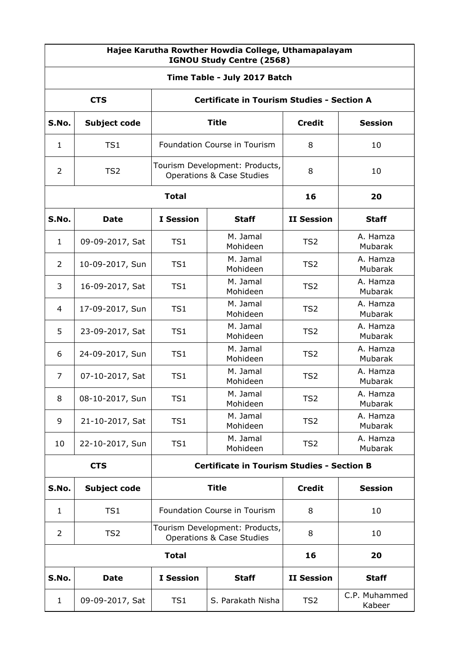| Hajee Karutha Rowther Howdia College, Uthamapalayam<br>IGNOU Study Centre (2568) |                                                                 |                                         |                                                                        |                                                   |                         |  |
|----------------------------------------------------------------------------------|-----------------------------------------------------------------|-----------------------------------------|------------------------------------------------------------------------|---------------------------------------------------|-------------------------|--|
| Time Table - July 2017 Batch                                                     |                                                                 |                                         |                                                                        |                                                   |                         |  |
|                                                                                  | <b>Certificate in Tourism Studies - Section A</b><br><b>CTS</b> |                                         |                                                                        |                                                   |                         |  |
| S.No.                                                                            | Subject code                                                    | <b>Title</b>                            |                                                                        | <b>Credit</b>                                     | <b>Session</b>          |  |
| $\mathbf{1}$                                                                     | TS1                                                             | Foundation Course in Tourism            |                                                                        | 8                                                 | 10                      |  |
| $\overline{2}$                                                                   | TS <sub>2</sub>                                                 |                                         | Tourism Development: Products,<br><b>Operations &amp; Case Studies</b> | 8                                                 | 10                      |  |
| <b>Total</b>                                                                     |                                                                 |                                         |                                                                        | 16                                                | 20                      |  |
| S.No.                                                                            | <b>Date</b>                                                     | <b>I</b> Session                        | <b>Staff</b>                                                           | <b>II Session</b>                                 | <b>Staff</b>            |  |
| $\mathbf{1}$                                                                     | 09-09-2017, Sat                                                 | TS1                                     | M. Jamal<br>Mohideen                                                   | TS <sub>2</sub>                                   | A. Hamza<br>Mubarak     |  |
| 2                                                                                | 10-09-2017, Sun                                                 | TS1                                     | M. Jamal<br>Mohideen                                                   | TS <sub>2</sub>                                   | A. Hamza<br>Mubarak     |  |
| 3                                                                                | 16-09-2017, Sat                                                 | TS1                                     | M. Jamal<br>Mohideen                                                   | TS <sub>2</sub>                                   | A. Hamza<br>Mubarak     |  |
| $\overline{4}$                                                                   | 17-09-2017, Sun                                                 | TS1                                     | M. Jamal<br>Mohideen                                                   | TS2                                               | A. Hamza<br>Mubarak     |  |
| 5                                                                                | 23-09-2017, Sat                                                 | TS1                                     | M. Jamal<br>Mohideen                                                   | TS <sub>2</sub>                                   | A. Hamza<br>Mubarak     |  |
| 6                                                                                | 24-09-2017, Sun                                                 | TS1                                     | M. Jamal<br>Mohideen                                                   | TS <sub>2</sub>                                   | A. Hamza<br>Mubarak     |  |
| 7                                                                                | 07-10-2017, Sat                                                 | M. Jamal<br>TS1<br>Mohideen             |                                                                        | TS <sub>2</sub>                                   | A. Hamza<br>Mubarak     |  |
| 8                                                                                | 08-10-2017, Sun                                                 | M. Jamal<br>TS <sub>1</sub><br>Mohideen |                                                                        | TS <sub>2</sub>                                   | A. Hamza<br>Mubarak     |  |
| 9                                                                                | 21-10-2017, Sat                                                 | TS1                                     | M. Jamal<br>Mohideen                                                   | TS <sub>2</sub>                                   | A. Hamza<br>Mubarak     |  |
| 10                                                                               | 22-10-2017, Sun                                                 | TS1                                     | M. Jamal<br>Mohideen                                                   | TS <sub>2</sub>                                   | A. Hamza<br>Mubarak     |  |
|                                                                                  | <b>CTS</b>                                                      |                                         |                                                                        | <b>Certificate in Tourism Studies - Section B</b> |                         |  |
| S.No.                                                                            | Subject code                                                    | <b>Title</b>                            |                                                                        | <b>Credit</b>                                     | <b>Session</b>          |  |
| 1                                                                                | TS1                                                             | Foundation Course in Tourism            |                                                                        | 8                                                 | 10                      |  |
| 2                                                                                | TS <sub>2</sub>                                                 |                                         | Tourism Development: Products,<br><b>Operations &amp; Case Studies</b> | 8                                                 | 10                      |  |
| <b>Total</b>                                                                     |                                                                 |                                         | 16                                                                     | 20                                                |                         |  |
| S.No.                                                                            | <b>Date</b>                                                     | <b>I</b> Session<br><b>Staff</b>        |                                                                        | <b>II Session</b>                                 | <b>Staff</b>            |  |
| $\mathbf{1}$                                                                     | 09-09-2017, Sat                                                 | TS1                                     | S. Parakath Nisha                                                      | TS <sub>2</sub>                                   | C.P. Muhammed<br>Kabeer |  |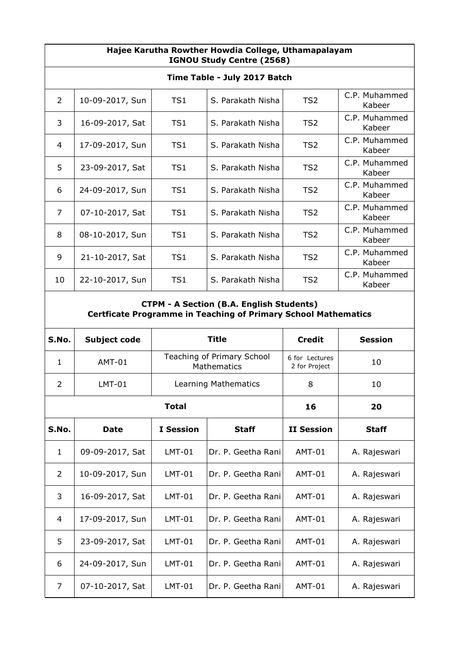| Hajee Karutha Rowther Howdia College, Uthamapalayam<br>IGNOU Study Centre (2568) |                 |     |                   |                 |                         |
|----------------------------------------------------------------------------------|-----------------|-----|-------------------|-----------------|-------------------------|
| Time Table - July 2017 Batch                                                     |                 |     |                   |                 |                         |
| $\overline{2}$                                                                   | 10-09-2017, Sun | TS1 | S. Parakath Nisha | TS <sub>2</sub> | C.P. Muhammed<br>Kabeer |
| 3                                                                                | 16-09-2017, Sat | TS1 | S. Parakath Nisha | TS <sub>2</sub> | C.P. Muhammed<br>Kabeer |
| 4                                                                                | 17-09-2017, Sun | TS1 | S. Parakath Nisha | TS <sub>2</sub> | C.P. Muhammed<br>Kabeer |
| 5                                                                                | 23-09-2017, Sat | TS1 | S. Parakath Nisha | TS <sub>2</sub> | C.P. Muhammed<br>Kabeer |
| 6                                                                                | 24-09-2017, Sun | TS1 | S. Parakath Nisha | TS <sub>2</sub> | C.P. Muhammed<br>Kabeer |
| $\overline{7}$                                                                   | 07-10-2017, Sat | TS1 | S. Parakath Nisha | TS2             | C.P. Muhammed<br>Kabeer |
| 8                                                                                | 08-10-2017, Sun | TS1 | S. Parakath Nisha | TS <sub>2</sub> | C.P. Muhammed<br>Kabeer |
| 9                                                                                | 21-10-2017, Sat | TS1 | S. Parakath Nisha | TS <sub>2</sub> | C.P. Muhammed<br>Kabeer |
| 10                                                                               | 22-10-2017, Sun | TS1 | S. Parakath Nisha | TS <sub>2</sub> | C.P. Muhammed<br>Kabeer |

## **CTPM - A Section (B.A. English Students) Certficate Programme in Teaching of Primary School Mathematics**

| S.No.          | <b>Subject code</b> |                                                  | Title                | <b>Credit</b>                   | <b>Session</b> |
|----------------|---------------------|--------------------------------------------------|----------------------|---------------------------------|----------------|
| $\mathbf{1}$   | AMT-01              | Teaching of Primary School<br><b>Mathematics</b> |                      | 6 for Lectures<br>2 for Project | 10             |
| 2              | $LMT-01$            |                                                  | Learning Mathematics | 8                               | 10             |
| <b>Total</b>   |                     |                                                  |                      | 16                              | 20             |
| S.No.          | <b>Date</b>         | <b>I</b> Session                                 | <b>Staff</b>         | <b>II Session</b>               | <b>Staff</b>   |
| $\mathbf{1}$   | 09-09-2017, Sat     | $LMT-01$                                         | Dr. P. Geetha Rani   | AMT-01                          | A. Rajeswari   |
| $\overline{2}$ | 10-09-2017, Sun     | $LMT-01$                                         | Dr. P. Geetha Rani   | AMT-01                          | A. Rajeswari   |
| 3              | 16-09-2017, Sat     | $LMT-01$                                         | Dr. P. Geetha Rani   | AMT-01                          | A. Rajeswari   |
| 4              | 17-09-2017, Sun     | $LMT-01$                                         | Dr. P. Geetha Rani   | <b>AMT-01</b>                   | A. Rajeswari   |
| 5              | 23-09-2017, Sat     | $LMT-01$                                         | Dr. P. Geetha Rani   | $AMT-01$                        | A. Rajeswari   |
| 6              | 24-09-2017, Sun     | <b>LMT-01</b>                                    | Dr. P. Geetha Rani   | AMT-01                          | A. Rajeswari   |
| $\overline{7}$ | 07-10-2017, Sat     | $LMT-01$                                         | Dr. P. Geetha Rani   | <b>AMT-01</b>                   | A. Rajeswari   |